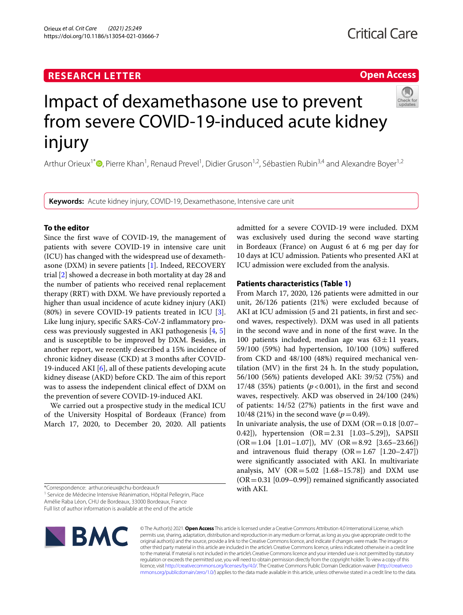# **RESEARCH LETTER**

# **Open Access**



# Impact of dexamethasone use to prevent from severe COVID-19-induced acute kidney injury

Arthur Orieux<sup>1\*</sup><sup>®</sup>[,](http://orcid.org/0000-0001-5680-8701) Pierre Khan<sup>1</sup>, Renaud Prevel<sup>1</sup>, Didier Gruson<sup>1,2</sup>, Sébastien Rubin<sup>3,4</sup> and Alexandre Boyer<sup>1,2</sup>

**Keywords:** Acute kidney injury, COVID-19, Dexamethasone, Intensive care unit

# **To the editor**

Since the frst wave of COVID-19, the management of patients with severe COVID-19 in intensive care unit (ICU) has changed with the widespread use of dexamethasone (DXM) in severe patients [[1\]](#page-3-0). Indeed, RECOVERY trial [[2\]](#page-3-1) showed a decrease in both mortality at day 28 and the number of patients who received renal replacement therapy (RRT) with DXM. We have previously reported a higher than usual incidence of acute kidney injury (AKI) (80%) in severe COVID-19 patients treated in ICU [\[3](#page-3-2)]. Like lung injury, specifc SARS-CoV-2 infammatory process was previously suggested in AKI pathogenesis [\[4](#page-3-3), [5](#page-3-4)] and is susceptible to be improved by DXM. Besides, in another report, we recently described a 15% incidence of chronic kidney disease (CKD) at 3 months after COVID-19-induced AKI [[6\]](#page-3-5), all of these patients developing acute kidney disease (AKD) before CKD. The aim of this report was to assess the independent clinical efect of DXM on the prevention of severe COVID-19-induced AKI.

We carried out a prospective study in the medical ICU of the University Hospital of Bordeaux (France) from March 17, 2020, to December 20, 2020. All patients

\*Correspondence: arthur.orieux@chu-bordeaux.fr

<sup>1</sup> Service de Médecine Intensive Réanimation, Hôpital Pellegrin, Place Amélie Raba Léon, CHU de Bordeaux, 33000 Bordeaux, France Full list of author information is available at the end of the article



admitted for a severe COVID-19 were included. DXM was exclusively used during the second wave starting in Bordeaux (France) on August 6 at 6 mg per day for 10 days at ICU admission. Patients who presented AKI at ICU admission were excluded from the analysis.

# **Patients characteristics (Table [1\)](#page-1-0)**

From March 17, 2020, 126 patients were admitted in our unit, 26/126 patients (21%) were excluded because of AKI at ICU admission (5 and 21 patients, in frst and second waves, respectively). DXM was used in all patients in the second wave and in none of the frst wave. In the 100 patients included, median age was  $63 \pm 11$  years, 59/100 (59%) had hypertension, 10/100 (10%) sufered from CKD and 48/100 (48%) required mechanical ventilation (MV) in the frst 24 h. In the study population, 56/100 (56%) patients developed AKI: 39/52 (75%) and 17/48 (35%) patients  $(p < 0.001)$ , in the first and second waves, respectively. AKD was observed in 24/100 (24%) of patients: 14/52 (27%) patients in the frst wave and 10/48 (21%) in the second wave  $(p=0.49)$ .

In univariate analysis, the use of DXM ( $OR = 0.18$  [0.07– 0.42]), hypertension (OR=2.31 [1.03–5.29]), SAPSII  $(OR = 1.04$  [1.01–1.07]), MV  $(OR = 8.92$  [3.65–23.66]) and intravenous fluid therapy  $(OR=1.67$  [1.20–2.47]) were signifcantly associated with AKI. In multivariate analysis, MV  $(OR = 5.02$   $[1.68 - 15.78]$  and DXM use  $(OR = 0.31$  [0.09–0.99]) remained significantly associated with AKI.

© The Author(s) 2021. **Open Access** This article is licensed under a Creative Commons Attribution 4.0 International License, which permits use, sharing, adaptation, distribution and reproduction in any medium or format, as long as you give appropriate credit to the original author(s) and the source, provide a link to the Creative Commons licence, and indicate if changes were made. The images or other third party material in this article are included in the article's Creative Commons licence, unless indicated otherwise in a credit line to the material. If material is not included in the article's Creative Commons licence and your intended use is not permitted by statutory regulation or exceeds the permitted use, you will need to obtain permission directly from the copyright holder. To view a copy of this licence, visit [http://creativecommons.org/licenses/by/4.0/.](http://creativecommons.org/licenses/by/4.0/) The Creative Commons Public Domain Dedication waiver ([http://creativeco](http://creativecommons.org/publicdomain/zero/1.0/) [mmons.org/publicdomain/zero/1.0/](http://creativecommons.org/publicdomain/zero/1.0/)) applies to the data made available in this article, unless otherwise stated in a credit line to the data.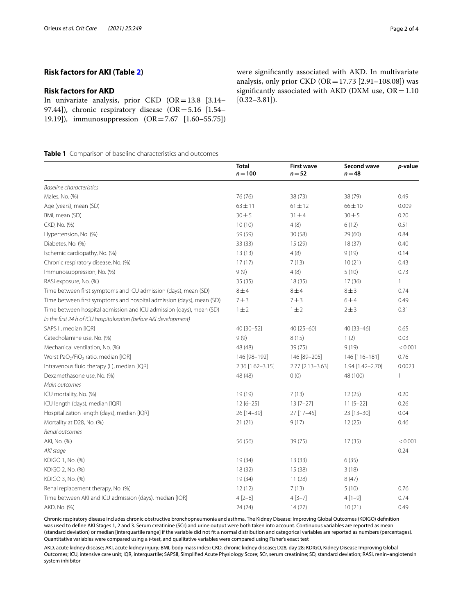# **Risk factors for AKD**

In univariate analysis, prior CKD  $(OR=13.8 \mid 3.14-$ 97.44]), chronic respiratory disease (OR=5.16 [1.54– 19.19]), immunosuppression (OR=7.67 [1.60–55.75]) were signifcantly associated with AKD. In multivariate analysis, only prior CKD  $(OR = 17.73 [2.91 - 108.08])$  was significantly associated with AKD (DXM use,  $OR = 1.10$  $[0.32 - 3.81]$ .

<span id="page-1-0"></span>**Table 1** Comparison of baseline characteristics and outcomes

|                                                                      | <b>Total</b><br>$n = 100$ | <b>First wave</b><br>$n = 52$ | Second wave<br>$n = 48$ | p-value      |
|----------------------------------------------------------------------|---------------------------|-------------------------------|-------------------------|--------------|
| <b>Baseline characteristics</b>                                      |                           |                               |                         |              |
| Males, No. (%)                                                       | 76 (76)                   | 38 (73)                       | 38 (79)                 | 0.49         |
| Age (years), mean (SD)                                               | $63 \pm 11$               | $61 \pm 12$                   | $66 \pm 10$             | 0.009        |
| BMI, mean (SD)                                                       | $30 + 5$                  | $31 + 4$                      | $30 + 5$                | 0.20         |
| CKD, No. (%)                                                         | 10(10)                    | 4(8)                          | 6(12)                   | 0.51         |
| Hypertension, No. (%)                                                | 59 (59)                   | 30(58)                        | 29(60)                  | 0.84         |
| Diabetes, No. (%)                                                    | 33 (33)                   | 15(29)                        | 18(37)                  | 0.40         |
| Ischemic cardiopathy, No. (%)                                        | 13(13)                    | 4(8)                          | 9(19)                   | 0.14         |
| Chronic respiratory disease, No. (%)                                 | 17(17)                    | 7(13)                         | 10(21)                  | 0.43         |
| Immunosuppression, No. (%)                                           | 9(9)                      | 4(8)                          | 5(10)                   | 0.73         |
| RASi exposure, No. (%)                                               | 35(35)                    | 18(35)                        | 17(36)                  | $\mathbf{1}$ |
| Time between first symptoms and ICU admission (days), mean (SD)      | $8\pm4$                   | $8 \pm 4$                     | $8 \pm 3$               | 0.74         |
| Time between first symptoms and hospital admission (days), mean (SD) | 7 ± 3                     | 7 ± 3                         | 6±4                     | 0.49         |
| Time between hospital admission and ICU admission (days), mean (SD)  | $1 \pm 2$                 | $1 \pm 2$                     | 2 ± 3                   | 0.31         |
| In the first 24 h of ICU hospitalization (before AKI development)    |                           |                               |                         |              |
| SAPS II, median [IQR]                                                | 40 [30-52]                | 40 [25-60]                    | 40 [33-46]              | 0.65         |
| Catecholamine use, No. (%)                                           | 9(9)                      | 8(15)                         | 1(2)                    | 0.03         |
| Mechanical ventilation, No. (%)                                      | 48 (48)                   | 39 (75)                       | 9(19)                   | < 0.001      |
| Worst PaO <sub>2</sub> /FiO <sub>2</sub> ratio, median [IQR]         | 146 [98-192]              | 146 [89-205]                  | 146 [116-181]           | 0.76         |
| Intravenous fluid therapy (L), median [IQR]                          | $2.36$ [1.62-3.15]        | 2.77 [2.13-3.63]              | 1.94 [1.42-2.70]        | 0.0023       |
| Dexamethasone use, No. (%)                                           | 48 (48)                   | 0(0)                          | 48 (100)                | 1            |
| Main outcomes                                                        |                           |                               |                         |              |
| ICU mortality, No. (%)                                               | 19 (19)                   | 7(13)                         | 12(25)                  | 0.20         |
| ICU length (days), median [IQR]                                      | $12[6-25]$                | $13 [7 - 27]$                 | $11 [5 - 22]$           | 0.26         |
| Hospitalization length (days), median [IQR]                          | 26 [14-39]                | 27 [17-45]                    | 23 [13-30]              | 0.04         |
| Mortality at D28, No. (%)                                            | 21(21)                    | 9(17)                         | 12(25)                  | 0.46         |
| Renal outcomes                                                       |                           |                               |                         |              |
| AKI, No. (%)                                                         | 56 (56)                   | 39 (75)                       | 17(35)                  | < 0.001      |
| AKI stage                                                            |                           |                               |                         | 0.24         |
| KDIGO 1, No. (%)                                                     | 19(34)                    | 13(33)                        | 6(35)                   |              |
| KDIGO 2, No. (%)                                                     | 18(32)                    | 15 (38)                       | 3(18)                   |              |
| KDIGO 3, No. (%)                                                     | 19 (34)                   | 11(28)                        | 8(47)                   |              |
| Renal replacement therapy, No. (%)                                   | 12(12)                    | 7(13)                         | 5(10)                   | 0.76         |
| Time between AKI and ICU admission (days), median [IQR]              | $4[2-8]$                  | $4[3-7]$                      | $4[1-9]$                | 0.74         |
| AKD, No. (%)                                                         | 24(24)                    | 14(27)                        | 10(21)                  | 0.49         |

Chronic respiratory disease includes chronic obstructive bronchopneumonia and asthma. The Kidney Disease: Improving Global Outcomes (KDIGO) defnition was used to defne AKI Stages 1, 2 and 3. Serum creatinine (SCr) and urine output were both taken into account. Continuous variables are reported as mean (standard deviation) or median [interquartile range] if the variable did not ft a normal distribution and categorical variables are reported as numbers (percentages). Quantitative variables were compared using a *t*-test, and qualitative variables were compared using Fisher's exact test

AKD, acute kidney disease; AKI, acute kidney injury; BMI, body mass index; CKD, chronic kidney disease; D28, day 28; KDIGO, Kidney Disease Improving Global Outcomes; ICU, intensive care unit; IQR, interquartile; SAPSII, Simplifed Acute Physiology Score; SCr, serum creatinine; SD, standard deviation; RASi, renin–angiotensin system inhibitor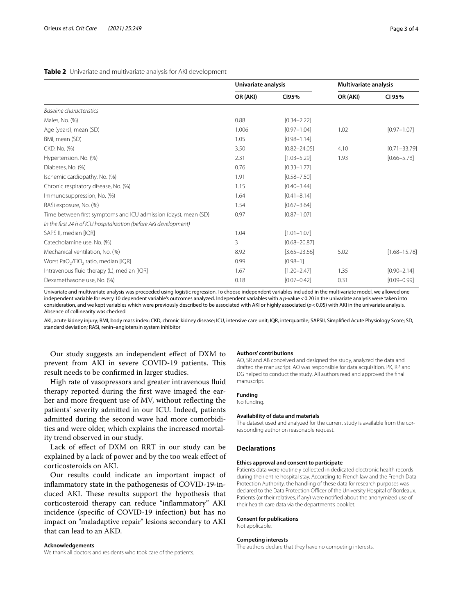# <span id="page-2-0"></span>**Table 2** Univariate and multivariate analysis for AKI development

|                                                                   | Univariate analysis |                  | <b>Multivariate analysis</b> |                  |
|-------------------------------------------------------------------|---------------------|------------------|------------------------------|------------------|
|                                                                   | OR (AKI)            | CI95%            | OR (AKI)                     | CI 95%           |
| <b>Baseline characteristics</b>                                   |                     |                  |                              |                  |
| Males, No. (%)                                                    | 0.88                | $[0.34 - 2.22]$  |                              |                  |
| Age (years), mean (SD)                                            | 1.006               | $[0.97 - 1.04]$  | 1.02                         | $[0.97 - 1.07]$  |
| BMI, mean (SD)                                                    | 1.05                | $[0.98 - 1.14]$  |                              |                  |
| CKD, No. (%)                                                      | 3.50                | $[0.82 - 24.05]$ | 4.10                         | $[0.71 - 33.79]$ |
| Hypertension, No. (%)                                             | 2.31                | $[1.03 - 5.29]$  | 1.93                         | $[0.66 - 5.78]$  |
| Diabetes, No. (%)                                                 | 0.76                | $[0.33 - 1.77]$  |                              |                  |
| Ischemic cardiopathy, No. (%)                                     | 1.91                | $[0.58 - 7.50]$  |                              |                  |
| Chronic respiratory disease, No. (%)                              | 1.15                | $[0.40 - 3.44]$  |                              |                  |
| Immunosuppression, No. (%)                                        | 1.64                | $[0.41 - 8.14]$  |                              |                  |
| RASi exposure, No. (%)                                            | 1.54                | $[0.67 - 3.64]$  |                              |                  |
| Time between first symptoms and ICU admission (days), mean (SD)   | 0.97                | $[0.87 - 1.07]$  |                              |                  |
| In the first 24 h of ICU hospitalization (before AKI development) |                     |                  |                              |                  |
| SAPS II, median [IQR]                                             | 1.04                | $[1.01 - 1.07]$  |                              |                  |
| Catecholamine use, No. (%)                                        | 3                   | $[0.68 - 20.87]$ |                              |                  |
| Mechanical ventilation, No. (%)                                   | 8.92                | $[3.65 - 23.66]$ | 5.02                         | $[1.68 - 15.78]$ |
| Worst PaO <sub>2</sub> /FiO <sub>2</sub> ratio, median [IQR]      | 0.99                | $[0.98 - 1]$     |                              |                  |
| Intravenous fluid therapy (L), median [IQR]                       | 1.67                | $[1.20 - 2.47]$  | 1.35                         | $[0.90 - 2.14]$  |
| Dexamethasone use, No. (%)                                        | 0.18                | $[0.07 - 0.42]$  | 0.31                         | $[0.09 - 0.99]$  |

Univariate and multivariate analysis was proceeded using logistic regression. To choose independent variables included in the multivariate model, we allowed one independent variable for every 10 dependent variable's outcomes analyzed. Independent variables with a *p*-value<0.20 in the univariate analysis were taken into consideration, and we kept variables which were previously described to be associated with AKI or highly associated ( $p$  < 0.05) with AKI in the univariate analysis. Absence of collinearity was checked

AKI, acute kidney injury; BMI, body mass index; CKD, chronic kidney disease; ICU, intensive care unit; IQR, interquartile; SAPSII, Simplifed Acute Physiology Score; SD, standard deviation; RASi, renin–angiotensin system inhibitor

Our study suggests an independent efect of DXM to prevent from AKI in severe COVID-19 patients. This result needs to be confrmed in larger studies.

High rate of vasopressors and greater intravenous fuid therapy reported during the frst wave imaged the earlier and more frequent use of MV, without refecting the patients' severity admitted in our ICU. Indeed, patients admitted during the second wave had more comorbidities and were older, which explains the increased mortality trend observed in our study.

Lack of efect of DXM on RRT in our study can be explained by a lack of power and by the too weak efect of corticosteroids on AKI.

Our results could indicate an important impact of infammatory state in the pathogenesis of COVID-19-induced AKI. These results support the hypothesis that corticosteroid therapy can reduce "infammatory" AKI incidence (specifc of COVID-19 infection) but has no impact on "maladaptive repair" lesions secondary to AKI that can lead to an AKD.

#### **Acknowledgements**

We thank all doctors and residents who took care of the patients.

#### **Authors' contributions**

AO, SR and AB conceived and designed the study, analyzed the data and drafted the manuscript. AO was responsible for data acquisition. PK, RP and DG helped to conduct the study. All authors read and approved the fnal manuscript.

# **Funding**

No funding.

# **Availability of data and materials**

The dataset used and analyzed for the current study is available from the corresponding author on reasonable request.

# **Declarations**

## **Ethics approval and consent to participate**

Patients data were routinely collected in dedicated electronic health records during their entire hospital stay. According to French law and the French Data Protection Authority, the handling of these data for research purposes was declared to the Data Protection Officer of the University Hospital of Bordeaux. Patients (or their relatives, if any) were notifed about the anonymized use of their health care data via the department's booklet.

#### **Consent for publications**

Not applicable.

#### **Competing interests**

The authors declare that they have no competing interests.